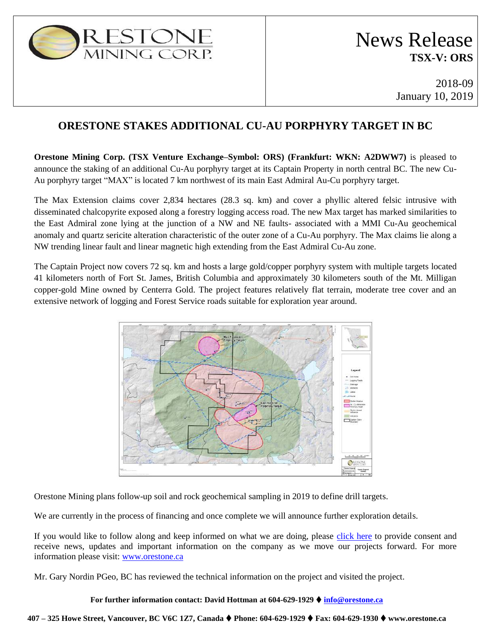

2018-09 January 10, 2019

# **ORESTONE STAKES ADDITIONAL CU-AU PORPHYRY TARGET IN BC**

**Orestone Mining Corp. (TSX Venture Exchange–Symbol: ORS) (Frankfurt: WKN: A2DWW7)** is pleased to announce the staking of an additional Cu-Au porphyry target at its Captain Property in north central BC. The new Cu-Au porphyry target "MAX" is located 7 km northwest of its main East Admiral Au-Cu porphyry target.

The Max Extension claims cover 2,834 hectares (28.3 sq. km) and cover a phyllic altered felsic intrusive with disseminated chalcopyrite exposed along a forestry logging access road. The new Max target has marked similarities to the East Admiral zone lying at the junction of a NW and NE faults- associated with a MMI Cu-Au geochemical anomaly and quartz sericite alteration characteristic of the outer zone of a Cu-Au porphyry. The Max claims lie along a NW trending linear fault and linear magnetic high extending from the East Admiral Cu-Au zone.

The Captain Project now covers 72 sq. km and hosts a large gold/copper porphyry system with multiple targets located 41 kilometers north of Fort St. James, British Columbia and approximately 30 kilometers south of the Mt. Milligan copper-gold Mine owned by Centerra Gold. The project features relatively flat terrain, moderate tree cover and an extensive network of logging and Forest Service roads suitable for exploration year around.



Orestone Mining plans follow-up soil and rock geochemical sampling in 2019 to define drill targets.

We are currently in the process of financing and once complete we will announce further exploration details.

If you would like to follow along and keep informed on what we are doing, please [click here](http://orestone.adnetcms.com/contact) to provide consent and receive news, updates and important information on the company as we move our projects forward. For more information please visit: [www.orestone.ca](http://www.orestone.ca/)

Mr. Gary Nordin PGeo, BC has reviewed the technical information on the project and visited the project.

#### **For further information contact: David Hottman at 604-629-1929 info@orestone.ca**